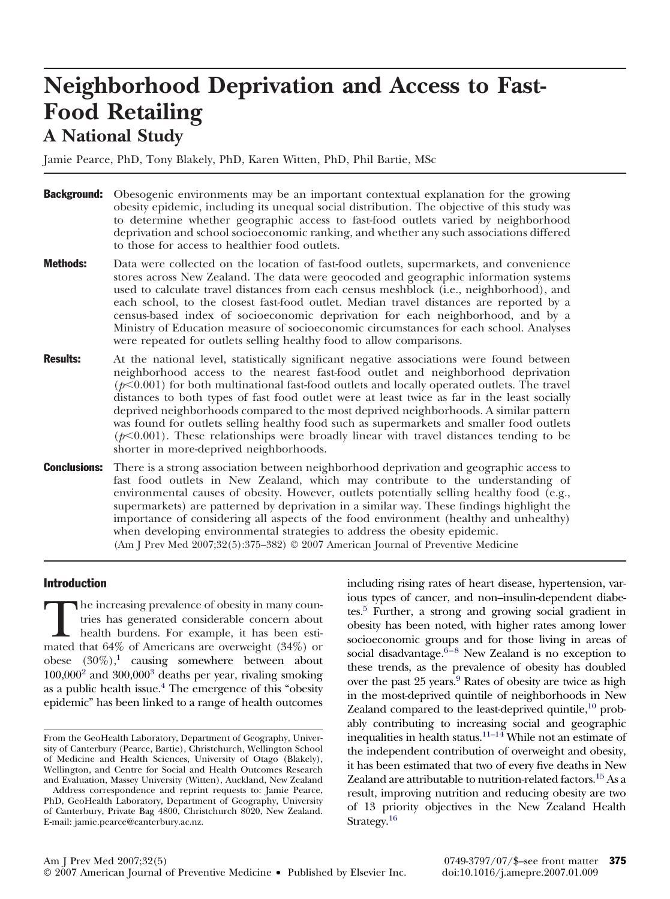# **Neighborhood Deprivation and Access to Fast-Food Retailing A National Study**

Jamie Pearce, PhD, Tony Blakely, PhD, Karen Witten, PhD, Phil Bartie, MSc

- **Background:** Obesogenic environments may be an important contextual explanation for the growing obesity epidemic, including its unequal social distribution. The objective of this study was to determine whether geographic access to fast-food outlets varied by neighborhood deprivation and school socioeconomic ranking, and whether any such associations differed to those for access to healthier food outlets.
- **Methods:** Data were collected on the location of fast-food outlets, supermarkets, and convenience stores across New Zealand. The data were geocoded and geographic information systems used to calculate travel distances from each census meshblock (i.e., neighborhood), and each school, to the closest fast-food outlet. Median travel distances are reported by a census-based index of socioeconomic deprivation for each neighborhood, and by a Ministry of Education measure of socioeconomic circumstances for each school. Analyses were repeated for outlets selling healthy food to allow comparisons.
- **Results:** At the national level, statistically significant negative associations were found between neighborhood access to the nearest fast-food outlet and neighborhood deprivation  $(p<0.001)$  for both multinational fast-food outlets and locally operated outlets. The travel distances to both types of fast food outlet were at least twice as far in the least socially deprived neighborhoods compared to the most deprived neighborhoods. A similar pattern was found for outlets selling healthy food such as supermarkets and smaller food outlets  $(p<0.001)$ . These relationships were broadly linear with travel distances tending to be shorter in more-deprived neighborhoods.
- **Conclusions:** There is a strong association between neighborhood deprivation and geographic access to fast food outlets in New Zealand, which may contribute to the understanding of environmental causes of obesity. However, outlets potentially selling healthy food (e.g., supermarkets) are patterned by deprivation in a similar way. These findings highlight the importance of considering all aspects of the food environment (healthy and unhealthy) when developing environmental strategies to address the obesity epidemic. (Am J Prev Med 2007;32(5):375–382) © 2007 American Journal of Preventive Medicine

# Introduction

The increasing prevalence of obesity in many countries has generated considerable concern about health burdens. For example, it has been estimated that 64% of Americans are overweight (34%) or tries has generated considerable concern about health burdens. For example, it has been estiobese  $(30\%)$ ,<sup>1</sup> causing somewhere between about  $100,000^2$  and  $300,000^3$  deaths per year, rivaling smoking as a public health issue. $4$  The emergence of this "obesity" epidemic" has been linked to a range of health outcomes including rising rates of heart disease, hypertension, various types of cancer, and non–insulin-dependent diabetes[.5](#page-6-0) Further, a strong and growing social gradient in obesity has been noted, with higher rates among lower socioeconomic groups and for those living in areas of social disadvantage. $6-8$  New Zealand is no exception to these trends, as the prevalence of obesity has doubled over the past 25 years.<sup>9</sup> Rates of obesity are twice as high in the most-deprived quintile of neighborhoods in New Zealand compared to the least-deprived quintile,<sup>10</sup> probably contributing to increasing social and geographic inequalities in health status[.11–14](#page-6-0) While not an estimate of the independent contribution of overweight and obesity, it has been estimated that two of every five deaths in New Zealand are attributable to nutrition-related factors[.15](#page-6-0) As a result, improving nutrition and reducing obesity are two of 13 priority objectives in the New Zealand Health Strategy.<sup>16</sup>

From the GeoHealth Laboratory, Department of Geography, University of Canterbury (Pearce, Bartie), Christchurch, Wellington School of Medicine and Health Sciences, University of Otago (Blakely), Wellington, and Centre for Social and Health Outcomes Research and Evaluation, Massey University (Witten), Auckland, New Zealand

Address correspondence and reprint requests to: Jamie Pearce, PhD, GeoHealth Laboratory, Department of Geography, University of Canterbury, Private Bag 4800, Christchurch 8020, New Zealand. E-mail: jamie.pearce@canterbury.ac.nz.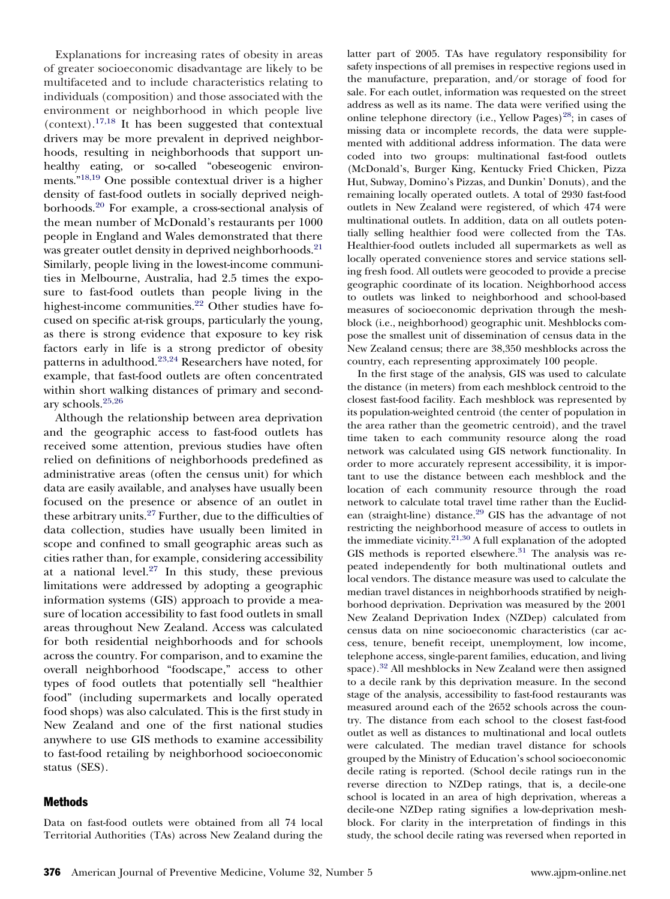Explanations for increasing rates of obesity in areas of greater socioeconomic disadvantage are likely to be multifaceted and to include characteristics relating to individuals (composition) and those associated with the environment or neighborhood in which people live (context).[17,18](#page-6-0) It has been suggested that contextual drivers may be more prevalent in deprived neighborhoods, resulting in neighborhoods that support unhealthy eating, or so-called "obeseogenic environments.["18,19](#page-6-0) One possible contextual driver is a higher density of fast-food outlets in socially deprived neighborhoods.[20](#page-6-0) For example, a cross-sectional analysis of the mean number of McDonald's restaurants per 1000 people in England and Wales demonstrated that there was greater outlet density in deprived neighborhoods.<sup>[21](#page-7-0)</sup> Similarly, people living in the lowest-income communities in Melbourne, Australia, had 2.5 times the exposure to fast-food outlets than people living in the highest-income communities.<sup>[22](#page-7-0)</sup> Other studies have focused on specific at-risk groups, particularly the young, as there is strong evidence that exposure to key risk factors early in life is a strong predictor of obesity patterns in adulthood.[23,24](#page-7-0) Researchers have noted, for example, that fast-food outlets are often concentrated within short walking distances of primary and secondary schools.[25,26](#page-7-0)

Although the relationship between area deprivation and the geographic access to fast-food outlets has received some attention, previous studies have often relied on definitions of neighborhoods predefined as administrative areas (often the census unit) for which data are easily available, and analyses have usually been focused on the presence or absence of an outlet in these arbitrary units.[27](#page-7-0) Further, due to the difficulties of data collection, studies have usually been limited in scope and confined to small geographic areas such as cities rather than, for example, considering accessibility at a national level. $27$  In this study, these previous limitations were addressed by adopting a geographic information systems (GIS) approach to provide a measure of location accessibility to fast food outlets in small areas throughout New Zealand. Access was calculated for both residential neighborhoods and for schools across the country. For comparison, and to examine the overall neighborhood "foodscape," access to other types of food outlets that potentially sell "healthier food" (including supermarkets and locally operated food shops) was also calculated. This is the first study in New Zealand and one of the first national studies anywhere to use GIS methods to examine accessibility to fast-food retailing by neighborhood socioeconomic status (SES).

# **Methods**

Data on fast-food outlets were obtained from all 74 local Territorial Authorities (TAs) across New Zealand during the latter part of 2005. TAs have regulatory responsibility for safety inspections of all premises in respective regions used in the manufacture, preparation, and/or storage of food for sale. For each outlet, information was requested on the street address as well as its name. The data were verified using the online telephone directory (i.e., Yellow Pages)<sup>28</sup>; in cases of missing data or incomplete records, the data were supplemented with additional address information. The data were coded into two groups: multinational fast-food outlets (McDonald's, Burger King, Kentucky Fried Chicken, Pizza Hut, Subway, Domino's Pizzas, and Dunkin' Donuts), and the remaining locally operated outlets. A total of 2930 fast-food outlets in New Zealand were registered, of which 474 were multinational outlets. In addition, data on all outlets potentially selling healthier food were collected from the TAs. Healthier-food outlets included all supermarkets as well as locally operated convenience stores and service stations selling fresh food. All outlets were geocoded to provide a precise geographic coordinate of its location. Neighborhood access to outlets was linked to neighborhood and school-based measures of socioeconomic deprivation through the meshblock (i.e., neighborhood) geographic unit. Meshblocks compose the smallest unit of dissemination of census data in the New Zealand census; there are 38,350 meshblocks across the country, each representing approximately 100 people.

In the first stage of the analysis, GIS was used to calculate the distance (in meters) from each meshblock centroid to the closest fast-food facility. Each meshblock was represented by its population-weighted centroid (the center of population in the area rather than the geometric centroid), and the travel time taken to each community resource along the road network was calculated using GIS network functionality. In order to more accurately represent accessibility, it is important to use the distance between each meshblock and the location of each community resource through the road network to calculate total travel time rather than the Euclidean (straight-line) distance[.29](#page-7-0) GIS has the advantage of not restricting the neighborhood measure of access to outlets in the immediate vicinity.<sup>21,30</sup> A full explanation of the adopted GIS methods is reported elsewhere. $31$  The analysis was repeated independently for both multinational outlets and local vendors. The distance measure was used to calculate the median travel distances in neighborhoods stratified by neighborhood deprivation. Deprivation was measured by the 2001 New Zealand Deprivation Index (NZDep) calculated from census data on nine socioeconomic characteristics (car access, tenure, benefit receipt, unemployment, low income, telephone access, single-parent families, education, and living space)[.32](#page-7-0) All meshblocks in New Zealand were then assigned to a decile rank by this deprivation measure. In the second stage of the analysis, accessibility to fast-food restaurants was measured around each of the 2652 schools across the country. The distance from each school to the closest fast-food outlet as well as distances to multinational and local outlets were calculated. The median travel distance for schools grouped by the Ministry of Education's school socioeconomic decile rating is reported. (School decile ratings run in the reverse direction to NZDep ratings, that is, a decile-one school is located in an area of high deprivation, whereas a decile-one NZDep rating signifies a low-deprivation meshblock. For clarity in the interpretation of findings in this study, the school decile rating was reversed when reported in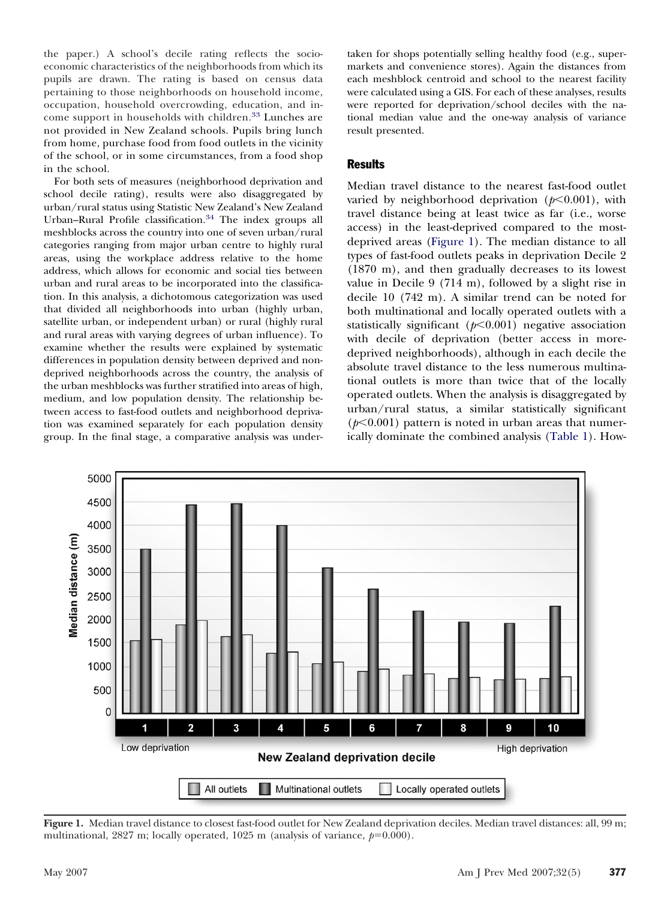the paper.) A school's decile rating reflects the socioeconomic characteristics of the neighborhoods from which its pupils are drawn. The rating is based on census data pertaining to those neighborhoods on household income, occupation, household overcrowding, education, and income support in households with children.[33](#page-7-0) Lunches are not provided in New Zealand schools. Pupils bring lunch from home, purchase food from food outlets in the vicinity of the school, or in some circumstances, from a food shop in the school.

For both sets of measures (neighborhood deprivation and school decile rating), results were also disaggregated by urban/rural status using Statistic New Zealand's New Zealand Urban–Rural Profile classification[.34](#page-7-0) The index groups all meshblocks across the country into one of seven urban/rural categories ranging from major urban centre to highly rural areas, using the workplace address relative to the home address, which allows for economic and social ties between urban and rural areas to be incorporated into the classification. In this analysis, a dichotomous categorization was used that divided all neighborhoods into urban (highly urban, satellite urban, or independent urban) or rural (highly rural and rural areas with varying degrees of urban influence). To examine whether the results were explained by systematic differences in population density between deprived and nondeprived neighborhoods across the country, the analysis of the urban meshblocks was further stratified into areas of high, medium, and low population density. The relationship between access to fast-food outlets and neighborhood deprivation was examined separately for each population density group. In the final stage, a comparative analysis was under-

taken for shops potentially selling healthy food (e.g., supermarkets and convenience stores). Again the distances from each meshblock centroid and school to the nearest facility were calculated using a GIS. For each of these analyses, results were reported for deprivation/school deciles with the national median value and the one-way analysis of variance result presented.

# **Results**

Median travel distance to the nearest fast-food outlet varied by neighborhood deprivation  $(p<0.001)$ , with travel distance being at least twice as far (i.e., worse access) in the least-deprived compared to the mostdeprived areas (Figure 1). The median distance to all types of fast-food outlets peaks in deprivation Decile 2 (1870 m), and then gradually decreases to its lowest value in Decile 9 (714 m), followed by a slight rise in decile 10 (742 m). A similar trend can be noted for both multinational and locally operated outlets with a statistically significant  $(p<0.001)$  negative association with decile of deprivation (better access in moredeprived neighborhoods), although in each decile the absolute travel distance to the less numerous multinational outlets is more than twice that of the locally operated outlets. When the analysis is disaggregated by urban/rural status, a similar statistically significant  $(p<0.001)$  pattern is noted in urban areas that numerically dominate the combined analysis [\(Table 1\)](#page-3-0). How-



**Figure 1.** Median travel distance to closest fast-food outlet for New Zealand deprivation deciles. Median travel distances: all, 99 m; multinational,  $2827$  m; locally operated,  $1025$  m (analysis of variance,  $p=0.000$ ).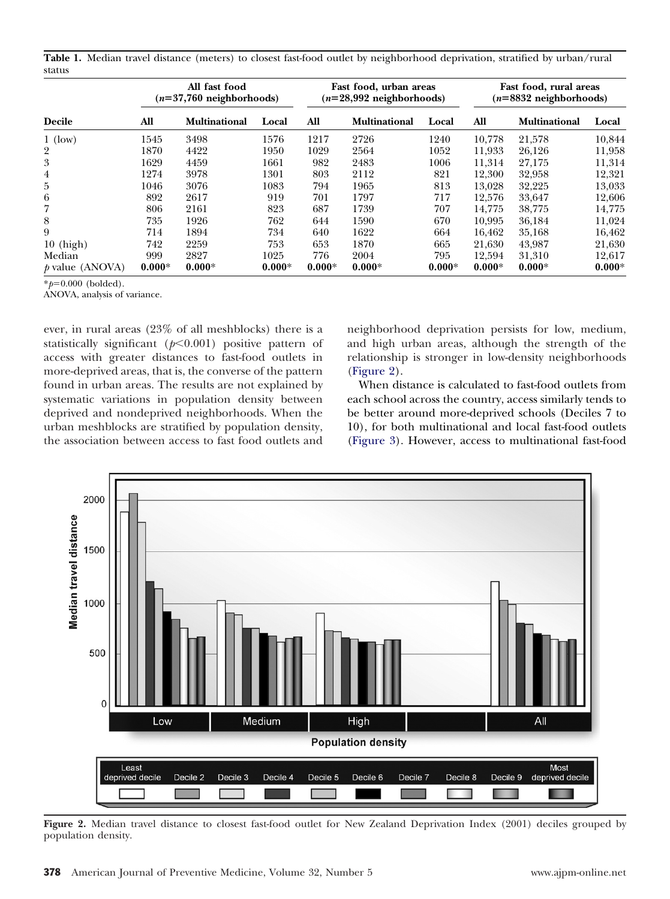<span id="page-3-0"></span>**Table 1.** Median travel distance (meters) to closest fast-food outlet by neighborhood deprivation, stratified by urban/rural status

| <b>Decile</b>     | All fast food<br>$(n=37,760$ neighborhoods) |                      |          | Fast food, urban areas<br>$(n=28,992$ neighborhoods) |                      |          | Fast food, rural areas<br>$(n=8832$ neighborhoods) |                      |          |
|-------------------|---------------------------------------------|----------------------|----------|------------------------------------------------------|----------------------|----------|----------------------------------------------------|----------------------|----------|
|                   | All                                         | <b>Multinational</b> | Local    | All                                                  | <b>Multinational</b> | Local    | All                                                | <b>Multinational</b> | Local    |
| $1$ (low)         | 1545                                        | 3498                 | 1576     | 1217                                                 | 2726                 | 1240     | 10,778                                             | 21,578               | 10,844   |
| 2                 | 1870                                        | 4422                 | 1950     | 1029                                                 | 2564                 | 1052     | 11.933                                             | 26,126               | 11,958   |
| 3                 | 1629                                        | 4459                 | 1661     | 982                                                  | 2483                 | 1006     | 11.314                                             | 27,175               | 11,314   |
| 4                 | 1274                                        | 3978                 | 1301     | 803                                                  | 2112                 | 821      | 12,300                                             | 32,958               | 12,321   |
| 5                 | 1046                                        | 3076                 | 1083     | 794                                                  | 1965                 | 813      | 13,028                                             | 32,225               | 13,033   |
| 6                 | 892                                         | 2617                 | 919      | 701                                                  | 1797                 | 717      | 12.576                                             | 33,647               | 12,606   |
| 7                 | 806                                         | 2161                 | 823      | 687                                                  | 1739                 | 707      | 14.775                                             | 38,775               | 14,775   |
| 8                 | 735                                         | 1926                 | 762      | 644                                                  | 1590                 | 670      | 10.995                                             | 36,184               | 11,024   |
| 9                 | 714                                         | 1894                 | 734      | 640                                                  | 1622                 | 664      | 16.462                                             | 35,168               | 16,462   |
| $10$ (high)       | 742                                         | 2259                 | 753      | 653                                                  | 1870                 | 665      | 21,630                                             | 43,987               | 21,630   |
| Median            | 999                                         | 2827                 | 1025     | 776                                                  | 2004                 | 795      | 12,594                                             | 31,310               | 12,617   |
| $p$ value (ANOVA) | $0.000*$                                    | $0.000*$             | $0.000*$ | $0.000*$                                             | $0.000*$             | $0.000*$ | $0.000*$                                           | $0.000*$             | $0.000*$ |

\**p*-0.000 (bolded).

ANOVA, analysis of variance.

ever, in rural areas (23% of all meshblocks) there is a statistically significant  $(p<0.001)$  positive pattern of access with greater distances to fast-food outlets in more-deprived areas, that is, the converse of the pattern found in urban areas. The results are not explained by systematic variations in population density between deprived and nondeprived neighborhoods. When the urban meshblocks are stratified by population density, the association between access to fast food outlets and

neighborhood deprivation persists for low, medium, and high urban areas, although the strength of the relationship is stronger in low-density neighborhoods (Figure 2).

When distance is calculated to fast-food outlets from each school across the country, access similarly tends to be better around more-deprived schools (Deciles 7 to 10), for both multinational and local fast-food outlets [\(Figure 3\)](#page-4-0). However, access to multinational fast-food



**Figure 2.** Median travel distance to closest fast-food outlet for New Zealand Deprivation Index (2001) deciles grouped by population density.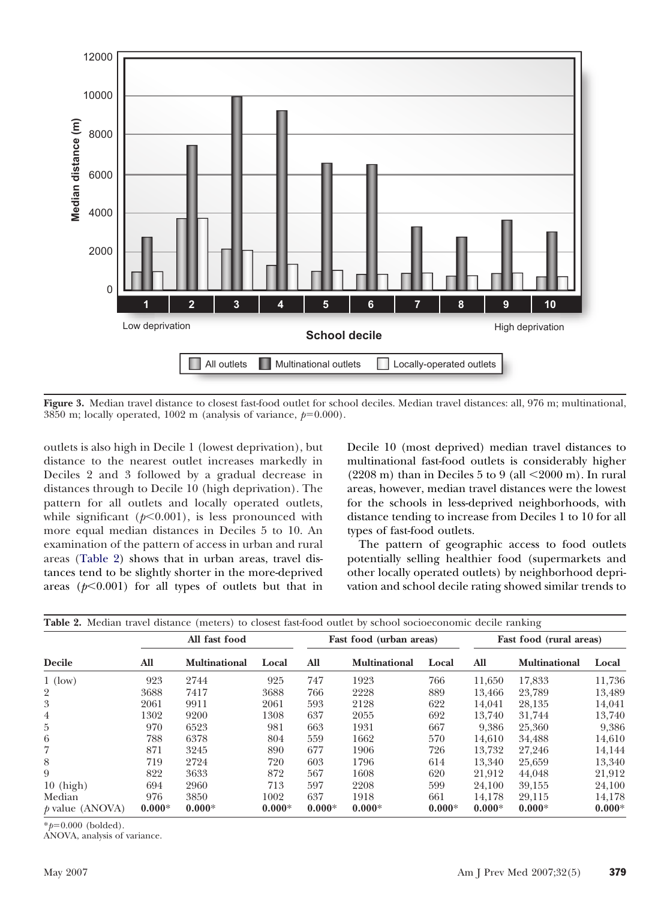<span id="page-4-0"></span>

**Figure 3.** Median travel distance to closest fast-food outlet for school deciles. Median travel distances: all, 976 m; multinational, 3850 m; locally operated,  $1002$  m (analysis of variance,  $p=0.000$ ).

outlets is also high in Decile 1 (lowest deprivation), but distance to the nearest outlet increases markedly in Deciles 2 and 3 followed by a gradual decrease in distances through to Decile 10 (high deprivation). The pattern for all outlets and locally operated outlets, while significant  $(p<0.001)$ , is less pronounced with more equal median distances in Deciles 5 to 10. An examination of the pattern of access in urban and rural areas (Table 2) shows that in urban areas, travel distances tend to be slightly shorter in the more-deprived areas ( $p<0.001$ ) for all types of outlets but that in Decile 10 (most deprived) median travel distances to multinational fast-food outlets is considerably higher (2208 m) than in Deciles 5 to 9 (all  $\leq$ 2000 m). In rural areas, however, median travel distances were the lowest for the schools in less-deprived neighborhoods, with distance tending to increase from Deciles 1 to 10 for all types of fast-food outlets.

The pattern of geographic access to food outlets potentially selling healthier food (supermarkets and other locally operated outlets) by neighborhood deprivation and school decile rating showed similar trends to

| <b>Table 2.</b> Median travel distance (meters) to closest fast-food outlet by school socioeconomic decile ranking |               |                      |          |                         |                      |          |                         |                      |          |
|--------------------------------------------------------------------------------------------------------------------|---------------|----------------------|----------|-------------------------|----------------------|----------|-------------------------|----------------------|----------|
| <b>Decile</b>                                                                                                      | All fast food |                      |          | Fast food (urban areas) |                      |          | Fast food (rural areas) |                      |          |
|                                                                                                                    | All           | <b>Multinational</b> | Local    | All                     | <b>Multinational</b> | Local    | All                     | <b>Multinational</b> | Local    |
| $1$ (low)                                                                                                          | 923           | 2744                 | 925      | 747                     | 1923                 | 766      | 11.650                  | 17,833               | 11,736   |
| 2                                                                                                                  | 3688          | 7417                 | 3688     | 766                     | 2228                 | 889      | 13.466                  | 23.789               | 13,489   |
| 3                                                                                                                  | 2061          | 9911                 | 2061     | 593                     | 2128                 | 622      | 14.041                  | 28,135               | 14,041   |
| 4                                                                                                                  | 1302          | 9200                 | 1308     | 637                     | 2055                 | 692      | 13,740                  | 31,744               | 13,740   |
| 5                                                                                                                  | 970           | 6523                 | 981      | 663                     | 1931                 | 667      | 9.386                   | 25,360               | 9,386    |
| 6                                                                                                                  | 788           | 6378                 | 804      | 559                     | 1662                 | 570      | 14.610                  | 34.488               | 14,610   |
| 7                                                                                                                  | 871           | 3245                 | 890      | 677                     | 1906                 | 726      | 13.732                  | 27,246               | 14,144   |
| 8                                                                                                                  | 719           | 2724                 | 720      | 603                     | 1796                 | 614      | 13.340                  | 25,659               | 13,340   |
| 9                                                                                                                  | 822           | 3633                 | 872      | 567                     | 1608                 | 620      | 21.912                  | 44,048               | 21,912   |
| $10$ (high)                                                                                                        | 694           | 2960                 | 713      | 597                     | 2208                 | 599      | 24,100                  | 39,155               | 24,100   |
| Median                                                                                                             | 976           | 3850                 | 1002     | 637                     | 1918                 | 661      | 14.178                  | 29.115               | 14,178   |
| $p$ value (ANOVA)                                                                                                  | $0.000*$      | $0.000*$             | $0.000*$ | $0.000*$                | $0.000*$             | $0.000*$ | $0.000*$                | $0.000*$             | $0.000*$ |

\**p*-0.000 (bolded).

ANOVA, analysis of variance.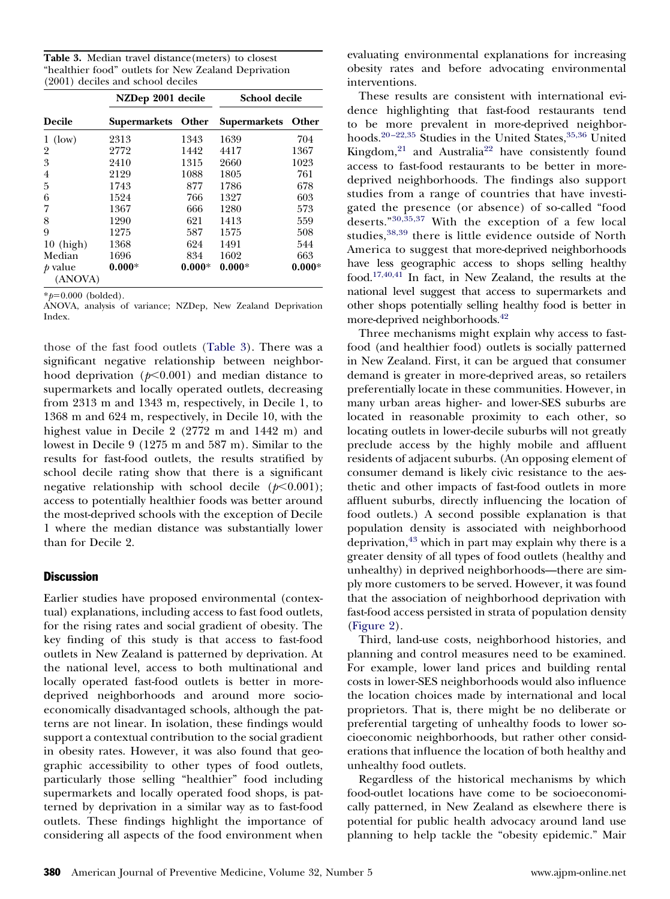**Table 3.** Median travel distance(meters) to closest "healthier food" outlets for New Zealand Deprivation (2001) deciles and school deciles

|                    | NZDep 2001 decile   |          | School decile       |          |  |  |
|--------------------|---------------------|----------|---------------------|----------|--|--|
| <b>Decile</b>      | <b>Supermarkets</b> | Other    | <b>Supermarkets</b> | Other    |  |  |
| (low)<br>1         | 2313                | 1343     | 1639                | 704      |  |  |
| 2                  | 2772                | 1442     | 4417                | 1367     |  |  |
| 3                  | 2410                | 1315     | 2660                | 1023     |  |  |
| 4                  | 2129                | 1088     | 1805                | 761      |  |  |
| 5                  | 1743                | 877      | 1786                | 678      |  |  |
| 6                  | 1524                | 766      | 1327                | 603      |  |  |
|                    | 1367                | 666      | 1280                | 573      |  |  |
| 8                  | 1290                | 621      | 1413                | 559      |  |  |
| 9                  | 1275                | 587      | 1575                | 508      |  |  |
| $10$ (high)        | 1368                | 624      | 1491                | 544      |  |  |
| Median             | 1696                | 834      | 1602                | 663      |  |  |
| p value<br>(ANOVA) | $0.000*$            | $0.000*$ | $0.000*$            | $0.000*$ |  |  |

\**p*-0.000 (bolded).

ANOVA, analysis of variance; NZDep, New Zealand Deprivation Index.

those of the fast food outlets (Table 3). There was a significant negative relationship between neighborhood deprivation  $(p<0.001)$  and median distance to supermarkets and locally operated outlets, decreasing from 2313 m and 1343 m, respectively, in Decile 1, to 1368 m and 624 m, respectively, in Decile 10, with the highest value in Decile 2 (2772 m and 1442 m) and lowest in Decile 9 (1275 m and 587 m). Similar to the results for fast-food outlets, the results stratified by school decile rating show that there is a significant negative relationship with school decile  $(p<0.001)$ ; access to potentially healthier foods was better around the most-deprived schools with the exception of Decile 1 where the median distance was substantially lower than for Decile 2.

# **Discussion**

Earlier studies have proposed environmental (contextual) explanations, including access to fast food outlets, for the rising rates and social gradient of obesity. The key finding of this study is that access to fast-food outlets in New Zealand is patterned by deprivation. At the national level, access to both multinational and locally operated fast-food outlets is better in moredeprived neighborhoods and around more socioeconomically disadvantaged schools, although the patterns are not linear. In isolation, these findings would support a contextual contribution to the social gradient in obesity rates. However, it was also found that geographic accessibility to other types of food outlets, particularly those selling "healthier" food including supermarkets and locally operated food shops, is patterned by deprivation in a similar way as to fast-food outlets. These findings highlight the importance of considering all aspects of the food environment when evaluating environmental explanations for increasing obesity rates and before advocating environmental interventions.

These results are consistent with international evidence highlighting that fast-food restaurants tend to be more prevalent in more-deprived neighbor-hoods.<sup>20-22,35</sup> Studies in the United States,<sup>[35,36](#page-7-0)</sup> United Kingdom, $21$  and Australia<sup>[22](#page-7-0)</sup> have consistently found access to fast-food restaurants to be better in moredeprived neighborhoods. The findings also support studies from a range of countries that have investigated the presence (or absence) of so-called "food deserts."[30,35,37](#page-7-0) With the exception of a few local studies,[38,39](#page-7-0) there is little evidence outside of North America to suggest that more-deprived neighborhoods have less geographic access to shops selling healthy food[.17,40,41](#page-6-0) In fact, in New Zealand, the results at the national level suggest that access to supermarkets and other shops potentially selling healthy food is better in more-deprived neighborhoods.<sup>42</sup>

Three mechanisms might explain why access to fastfood (and healthier food) outlets is socially patterned in New Zealand. First, it can be argued that consumer demand is greater in more-deprived areas, so retailers preferentially locate in these communities. However, in many urban areas higher- and lower-SES suburbs are located in reasonable proximity to each other, so locating outlets in lower-decile suburbs will not greatly preclude access by the highly mobile and affluent residents of adjacent suburbs. (An opposing element of consumer demand is likely civic resistance to the aesthetic and other impacts of fast-food outlets in more affluent suburbs, directly influencing the location of food outlets.) A second possible explanation is that population density is associated with neighborhood deprivation, $43$  which in part may explain why there is a greater density of all types of food outlets (healthy and unhealthy) in deprived neighborhoods—there are simply more customers to be served. However, it was found that the association of neighborhood deprivation with fast-food access persisted in strata of population density [\(Figure 2\)](#page-3-0).

Third, land-use costs, neighborhood histories, and planning and control measures need to be examined. For example, lower land prices and building rental costs in lower-SES neighborhoods would also influence the location choices made by international and local proprietors. That is, there might be no deliberate or preferential targeting of unhealthy foods to lower socioeconomic neighborhoods, but rather other considerations that influence the location of both healthy and unhealthy food outlets.

Regardless of the historical mechanisms by which food-outlet locations have come to be socioeconomically patterned, in New Zealand as elsewhere there is potential for public health advocacy around land use planning to help tackle the "obesity epidemic." Mair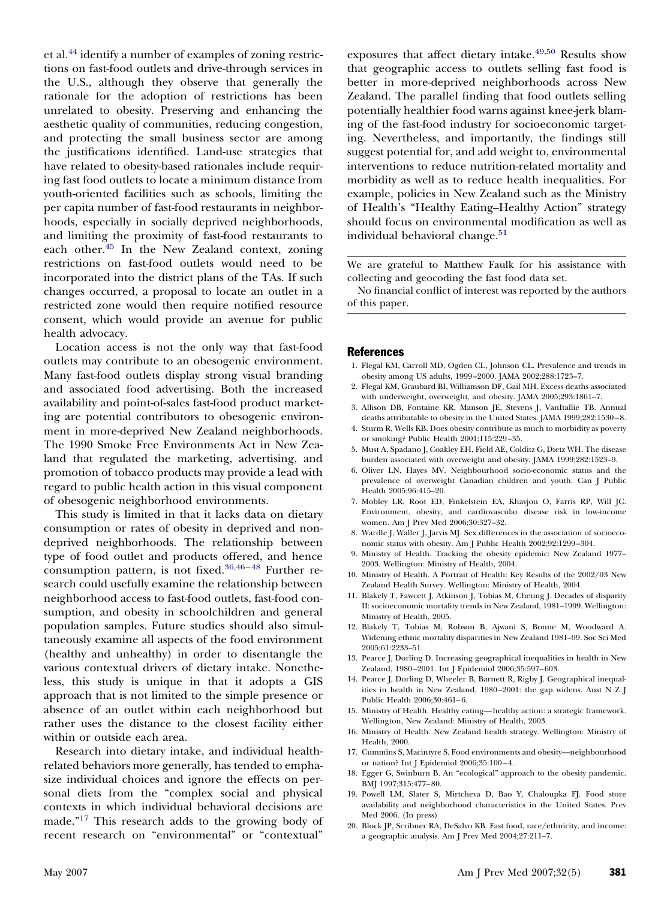<span id="page-6-0"></span>et al.[44](#page-7-0) identify a number of examples of zoning restrictions on fast-food outlets and drive-through services in the U.S., although they observe that generally the rationale for the adoption of restrictions has been unrelated to obesity. Preserving and enhancing the aesthetic quality of communities, reducing congestion, and protecting the small business sector are among the justifications identified. Land-use strategies that have related to obesity-based rationales include requiring fast food outlets to locate a minimum distance from youth-oriented facilities such as schools, limiting the per capita number of fast-food restaurants in neighborhoods, especially in socially deprived neighborhoods, and limiting the proximity of fast-food restaurants to each other.[45](#page-7-0) In the New Zealand context, zoning restrictions on fast-food outlets would need to be incorporated into the district plans of the TAs. If such changes occurred, a proposal to locate an outlet in a restricted zone would then require notified resource consent, which would provide an avenue for public health advocacy.

Location access is not the only way that fast-food outlets may contribute to an obesogenic environment. Many fast-food outlets display strong visual branding and associated food advertising. Both the increased availability and point-of-sales fast-food product marketing are potential contributors to obesogenic environment in more-deprived New Zealand neighborhoods. The 1990 Smoke Free Environments Act in New Zealand that regulated the marketing, advertising, and promotion of tobacco products may provide a lead with regard to public health action in this visual component of obesogenic neighborhood environments.

This study is limited in that it lacks data on dietary consumption or rates of obesity in deprived and nondeprived neighborhoods. The relationship between type of food outlet and products offered, and hence consumption pattern, is not fixed. $36,46-48$  Further research could usefully examine the relationship between neighborhood access to fast-food outlets, fast-food consumption, and obesity in schoolchildren and general population samples. Future studies should also simultaneously examine all aspects of the food environment (healthy and unhealthy) in order to disentangle the various contextual drivers of dietary intake. Nonetheless, this study is unique in that it adopts a GIS approach that is not limited to the simple presence or absence of an outlet within each neighborhood but rather uses the distance to the closest facility either within or outside each area.

Research into dietary intake, and individual healthrelated behaviors more generally, has tended to emphasize individual choices and ignore the effects on personal diets from the "complex social and physical contexts in which individual behavioral decisions are made."<sup>17</sup> This research adds to the growing body of recent research on "environmental" or "contextual"

exposures that affect dietary intake.<sup>[49,50](#page-7-0)</sup> Results show that geographic access to outlets selling fast food is better in more-deprived neighborhoods across New Zealand. The parallel finding that food outlets selling potentially healthier food warns against knee-jerk blaming of the fast-food industry for socioeconomic targeting. Nevertheless, and importantly, the findings still suggest potential for, and add weight to, environmental interventions to reduce nutrition-related mortality and morbidity as well as to reduce health inequalities. For example, policies in New Zealand such as the Ministry of Health's "Healthy Eating–Healthy Action" strategy should focus on environmental modification as well as individual behavioral change.<sup>[51](#page-7-0)</sup>

We are grateful to Matthew Faulk for his assistance with collecting and geocoding the fast food data set.

No financial conflict of interest was reported by the authors of this paper.

#### References

- 1. Flegal KM, Carroll MD, Ogden CL, Johnson CL. Prevalence and trends in obesity among US adults, 1999 –2000. JAMA 2002;288:1723–7.
- 2. Flegal KM, Graubard BI, Williamson DF, Gail MH. Excess deaths associated with underweight, overweight, and obesity. JAMA 2005;293:1861–7.
- 3. Allison DB, Fontaine KR, Manson JE, Stevens J, VanItallie TB. Annual deaths attributable to obesity in the United States. JAMA 1999;282:1530 – 8.
- 4. Sturm R, Wells KB. Does obesity contribute as much to morbidity as poverty or smoking? Public Health 2001;115:229 –35.
- 5. Must A, Spadano J, Coakley EH, Field AE, Colditz G, Dietz WH. The disease burden associated with overweight and obesity. JAMA 1999;282:1523–9.
- 6. Oliver LN, Hayes MV. Neighbourhood socio-economic status and the prevalence of overweight Canadian children and youth. Can J Public Health 2005;96:415–20.
- 7. Mobley LR, Root ED, Finkelstein EA, Khavjou O, Farris RP, Will JC. Environment, obesity, and cardiovascular disease risk in low-income women. Am J Prev Med 2006;30:327–32.
- 8. Wardle J, Waller J, Jarvis MJ. Sex differences in the association of socioeconomic status with obesity. Am J Public Health 2002;92:1299 –304.
- 9. Ministry of Health. Tracking the obesity epidemic: New Zealand 1977– 2003. Wellington: Ministry of Health, 2004.
- 10. Ministry of Health. A Portrait of Health: Key Results of the 2002/03 New Zealand Health Survey. Wellington: Ministry of Health, 2004.
- 11. Blakely T, Fawcett J, Atkinson J, Tobias M, Cheung J. Decades of disparity II: socioeconomic mortality trends in New Zealand, 1981–1999. Wellington: Ministry of Health, 2005.
- 12. Blakely T, Tobias M, Robson B, Ajwani S, Bonne M, Woodward A. Widening ethnic mortality disparities in New Zealand 1981–99. Soc Sci Med 2005;61:2233–51.
- 13. Pearce J, Dorling D. Increasing geographical inequalities in health in New Zealand, 1980 –2001. Int J Epidemiol 2006;35:597– 603.
- 14. Pearce J, Dorling D, Wheeler B, Barnett R, Rigby J. Geographical inequalities in health in New Zealand, 1980-2001: the gap widens. Aust N Z J Public Health 2006;30:461-6.
- 15. Ministry of Health. Healthy eating—healthy action: a strategic framework. Wellington, New Zealand: Ministry of Health, 2003.
- 16. Ministry of Health. New Zealand health strategy. Wellington: Ministry of Health, 2000.
- 17. Cummins S, Macintyre S. Food environments and obesity—neighbourhood or nation? Int J Epidemiol 2006;35:100 – 4.
- 18. Egger G, Swinburn B. An "ecological" approach to the obesity pandemic. BMJ 1997;315:477– 80.
- 19. Powell LM, Slater S, Mirtcheva D, Bao Y, Chaloupka FJ. Food store availability and neighborhood characteristics in the United States. Prev Med 2006. (In press)
- 20. Block JP, Scribner RA, DeSalvo KB. Fast food, race/ethnicity, and income: a geographic analysis. Am J Prev Med 2004;27:211–7.